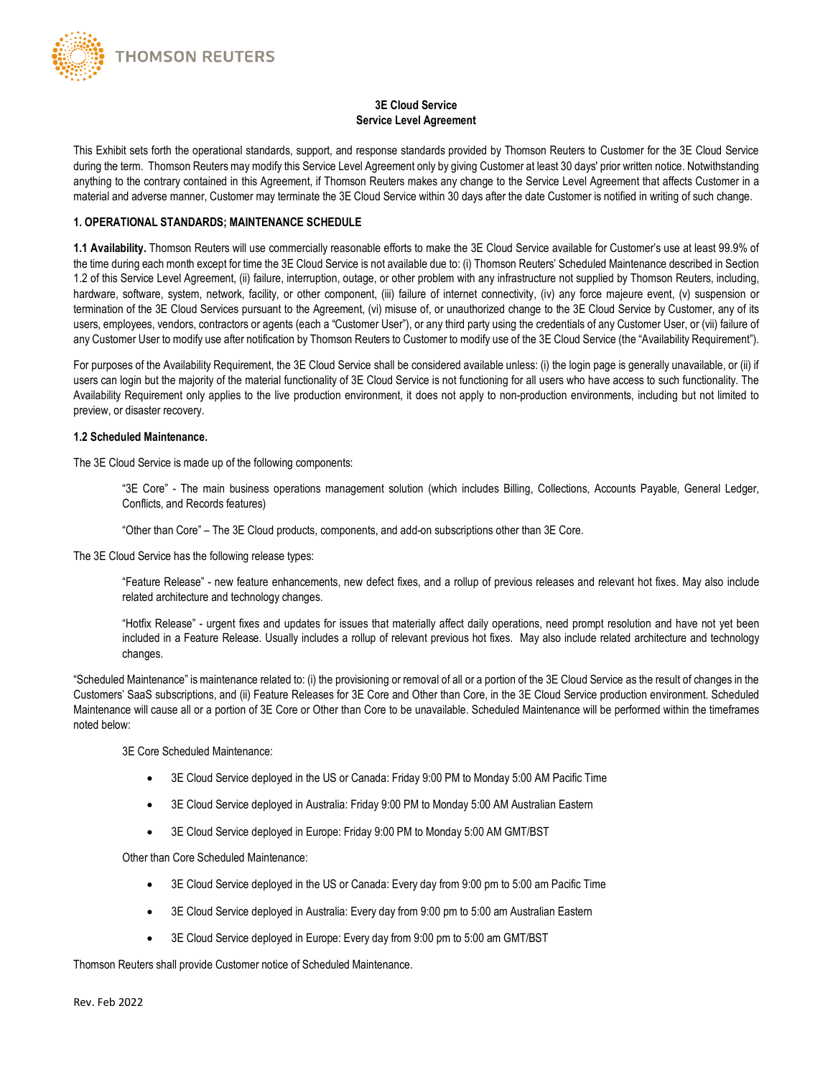

# **3E Cloud Service Service Level Agreement**

This Exhibit sets forth the operational standards, support, and response standards provided by Thomson Reuters to Customer for the 3E Cloud Service during the term. Thomson Reuters may modify this Service Level Agreement only by giving Customer at least 30 days' prior written notice. Notwithstanding anything to the contrary contained in this Agreement, if Thomson Reuters makes any change to the Service Level Agreement that affects Customer in a material and adverse manner, Customer may terminate the 3E Cloud Service within 30 days after the date Customer is notified in writing of such change.

#### **1. OPERATIONAL STANDARDS; MAINTENANCE SCHEDULE**

**1.1 Availability.** Thomson Reuters will use commercially reasonable efforts to make the 3E Cloud Service available for Customer's use at least 99.9% of the time during each month except for time the 3E Cloud Service is not available due to: (i) Thomson Reuters' Scheduled Maintenance described in Section 1.2 of this Service Level Agreement, (ii) failure, interruption, outage, or other problem with any infrastructure not supplied by Thomson Reuters, including, hardware, software, system, network, facility, or other component, (iii) failure of internet connectivity, (iv) any force majeure event, (v) suspension or termination of the 3E Cloud Services pursuant to the Agreement, (vi) misuse of, or unauthorized change to the 3E Cloud Service by Customer, any of its users, employees, vendors, contractors or agents (each a "Customer User"), or any third party using the credentials of any Customer User, or (vii) failure of any Customer User to modify use after notification by Thomson Reuters to Customer to modify use of the 3E Cloud Service (the "Availability Requirement").

For purposes of the Availability Requirement, the 3E Cloud Service shall be considered available unless: (i) the login page is generally unavailable, or (ii) if users can login but the majority of the material functionality of 3E Cloud Service is not functioning for all users who have access to such functionality. The Availability Requirement only applies to the live production environment, it does not apply to non-production environments, including but not limited to preview, or disaster recovery.

### **1.2 Scheduled Maintenance.**

The 3E Cloud Service is made up of the following components:

"3E Core" - The main business operations management solution (which includes Billing, Collections, Accounts Payable, General Ledger, Conflicts, and Records features)

"Other than Core" – The 3E Cloud products, components, and add-on subscriptions other than 3E Core.

The 3E Cloud Service has the following release types:

"Feature Release" - new feature enhancements, new defect fixes, and a rollup of previous releases and relevant hot fixes. May also include related architecture and technology changes.

"Hotfix Release" - urgent fixes and updates for issues that materially affect daily operations, need prompt resolution and have not yet been included in a Feature Release. Usually includes a rollup of relevant previous hot fixes. May also include related architecture and technology changes.

"Scheduled Maintenance" is maintenance related to: (i) the provisioning or removal of all or a portion of the 3E Cloud Service as the result of changes in the Customers' SaaS subscriptions, and (ii) Feature Releases for 3E Core and Other than Core, in the 3E Cloud Service production environment. Scheduled Maintenance will cause all or a portion of 3E Core or Other than Core to be unavailable. Scheduled Maintenance will be performed within the timeframes noted below:

3E Core Scheduled Maintenance:

- 3E Cloud Service deployed in the US or Canada: Friday 9:00 PM to Monday 5:00 AM Pacific Time
- 3E Cloud Service deployed in Australia: Friday 9:00 PM to Monday 5:00 AM Australian Eastern
- 3E Cloud Service deployed in Europe: Friday 9:00 PM to Monday 5:00 AM GMT/BST

Other than Core Scheduled Maintenance:

- 3E Cloud Service deployed in the US or Canada: Every day from 9:00 pm to 5:00 am Pacific Time
- 3E Cloud Service deployed in Australia: Every day from 9:00 pm to 5:00 am Australian Eastern
- 3E Cloud Service deployed in Europe: Every day from 9:00 pm to 5:00 am GMT/BST

Thomson Reuters shall provide Customer notice of Scheduled Maintenance.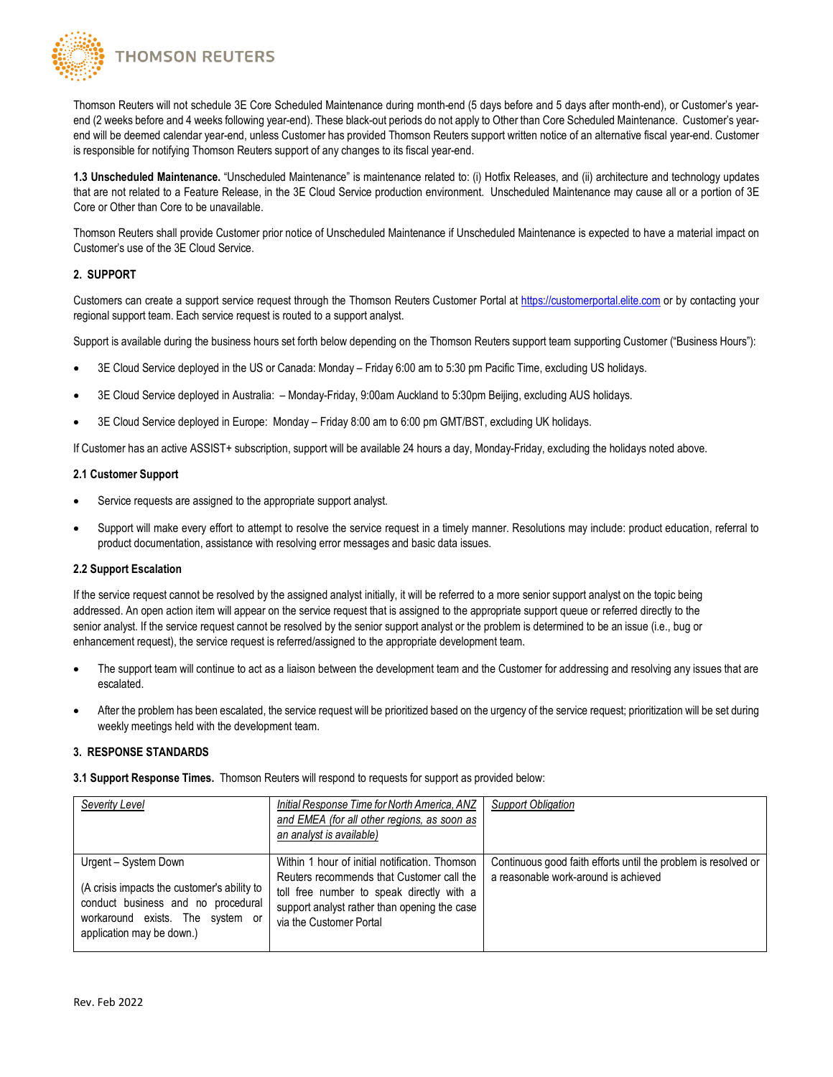**THOMSON REUTERS** 

Thomson Reuters will not schedule 3E Core Scheduled Maintenance during month-end (5 days before and 5 days after month-end), or Customer's yearend (2 weeks before and 4 weeks following year-end). These black-out periods do not apply to Other than Core Scheduled Maintenance. Customer's yearend will be deemed calendar year-end, unless Customer has provided Thomson Reuters support written notice of an alternative fiscal year-end. Customer is responsible for notifying Thomson Reuters support of any changes to its fiscal year-end.

**1.3 Unscheduled Maintenance.** "Unscheduled Maintenance" is maintenance related to: (i) Hotfix Releases, and (ii) architecture and technology updates that are not related to a Feature Release, in the 3E Cloud Service production environment. Unscheduled Maintenance may cause all or a portion of 3E Core or Other than Core to be unavailable.

Thomson Reuters shall provide Customer prior notice of Unscheduled Maintenance if Unscheduled Maintenance is expected to have a material impact on Customer's use of the 3E Cloud Service.

### **2. SUPPORT**

Customers can create a support service request through the Thomson Reuters Customer Portal at [https://customerportal.elite.com](https://customerportal.elite.com/) or by contacting your regional support team. Each service request is routed to a support analyst.

Support is available during the business hours set forth below depending on the Thomson Reuters support team supporting Customer ("Business Hours"):

- 3E Cloud Service deployed in the US or Canada: Monday Friday 6:00 am to 5:30 pm Pacific Time, excluding US holidays.
- 3E Cloud Service deployed in Australia: Monday-Friday, 9:00am Auckland to 5:30pm Beijing, excluding AUS holidays.
- 3E Cloud Service deployed in Europe: Monday Friday 8:00 am to 6:00 pm GMT/BST, excluding UK holidays.

If Customer has an active ASSIST+ subscription, support will be available 24 hours a day, Monday-Friday, excluding the holidays noted above.

#### **2.1 Customer Support**

- Service requests are assigned to the appropriate support analyst.
- Support will make every effort to attempt to resolve the service request in a timely manner. Resolutions may include: product education, referral to product documentation, assistance with resolving error messages and basic data issues.

### **2.2 Support Escalation**

If the service request cannot be resolved by the assigned analyst initially, it will be referred to a more senior support analyst on the topic being addressed. An open action item will appear on the service request that is assigned to the appropriate support queue or referred directly to the senior analyst. If the service request cannot be resolved by the senior support analyst or the problem is determined to be an issue (i.e., bug or enhancement request), the service request is referred/assigned to the appropriate development team.

- The support team will continue to act as a liaison between the development team and the Customer for addressing and resolving any issues that are escalated.
- After the problem has been escalated, the service request will be prioritized based on the urgency of the service request; prioritization will be set during weekly meetings held with the development team.

### **3. RESPONSE STANDARDS**

**3.1 Support Response Times.** Thomson Reuters will respond to requests for support as provided below:

| Severity Level                                                                                                                                                             | Initial Response Time for North America, ANZ<br>and EMEA (for all other regions, as soon as<br>an analyst is available)                                                                                             | <b>Support Obligation</b>                                                                              |
|----------------------------------------------------------------------------------------------------------------------------------------------------------------------------|---------------------------------------------------------------------------------------------------------------------------------------------------------------------------------------------------------------------|--------------------------------------------------------------------------------------------------------|
| Urgent - System Down<br>(A crisis impacts the customer's ability to<br>conduct business and no procedural<br>workaround exists. The system or<br>application may be down.) | Within 1 hour of initial notification. Thomson<br>Reuters recommends that Customer call the<br>toll free number to speak directly with a<br>support analyst rather than opening the case<br>via the Customer Portal | Continuous good faith efforts until the problem is resolved or<br>a reasonable work-around is achieved |